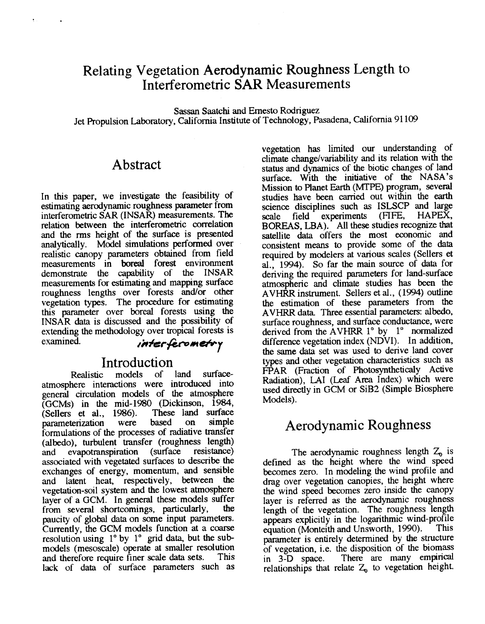## Relating Vegetation **Aerodynamic** Roughness Length to Interferometric **SAR** Measurements

Sassan Saatchi and Emesto Rodriguez Jet Propulsion Laboratory, California Institute of Technology, Pasadena, California 91 **<sup>109</sup>**

#### Abstract

In this paper, we investigate the feasibility of estimating aerodynamic roughness parameter from interferometric SAR (INSAR) measurements. **The**  relation between the interferometric correlation and the nns height of the surface is presented analytically. Model simulations **performed** over realistic canopy parameters obtained from field measurements in **boreal** forest environment<br>demonstrate the canability of the INSAR demonstrate the capability of measurements for estimating and mapping **surface**  roughness lengths over forests and/or other vegetation **types.** The procedure for estimating this parameter over boreal forests using the INSAR data is discussed and the possibility of extending the methodology over tropical forests is examined. *interferometry* 

# Introduction<br>c models of

Realistic models of land surfaceatmosphere interactions were introduced into general circulation models of the atmosphere (GCMs) in the mid-1980 (Dickinson,  $\overline{1984}$ , (Sellers et al. 1986). These land surface (Sellers et al., 1986). These land<br>
narameterization were based on parameterization were based on simple formulations of the processes of radiative transfer (albedo), turbulent transfer (roughness length)<br>and evapotranspiration (surface resistance) and evapotranspiration associated with vegetated surfaces to describe the exchanges of energy, momentum, and sensible and latent heat, respectively, between the vegetation-soil system and the lowest atmosphere layer of a GCM. In general these models suffer<br>from several shortcomings particularly, the from several shortcomings, particularly, paucity of global data on some input parameters. Currently, the GCM models function at a coarse resolution using  $1^{\circ}$  by  $1^{\circ}$  grid data, but the submodels (mesoscale) operate at smaller resolution and therefore require finer scale data sets. lack of data of surface parameters such *as*  vegetation has limited our understanding of climate change/variability and its relation with the status and dynamics of the biotic changes of land surface. With the initiative of the NASA's Mission to Pianet Earth (MTPE) program, several studies have been carried out within the *earth*  science disciplines such as ISLSCP and large<br>scale field experiments (FIFE, HAPEX, scale field experiments (FIFE, BOREAS, LBA). All these studies recognize that satellite data offers the most economic and consistent means to provide some of the data required by modelers at various sales (Sellers et al., **1994).** *So* far the main source of data for deriving the required parameters for land-surface atmospheric and climate studies has been the AVHRR instrument. Sellers et al., **(1994)** outline the estimation of these parameters from the AVHRR data. Three essential parameters: albedo, surface roughness, and surface conductance, were derived from the AVHRR 1<sup>°</sup> by 1<sup>°</sup> normalized difference vegetation index (NDVI). In addition, the Same data set was used to derive land cover types and other vegetation characteristics such as FPAR (Fraction of Photosyntheticaly Active Radiation), LA1 (Leaf Area Index) which were used directly in GCM or SiB2 (Simple Biosphere Models).

## Aerodynamic Roughness

The aerodynamic roughness length  $Z_0$  is defined as the height where the wind speed becomes zero. In modeling the wind profile and drag over vegetation canopies, the height where the wind speed becomes zero inside the canopy layer is referred as the aerodynamic roughness length of the vegetation. The roughness length appears explicitly in the logarithmic wind-profile<br>equation (Monteith and Unsworth, 1990). This equation (Monteith and Unsworth, 1990). parameter **is** entirely determined by the structure of vegetation, i.e. the disposition of the biomass in **3-D** space. There are many empirical relationships that relate *Z,* to vegetation height.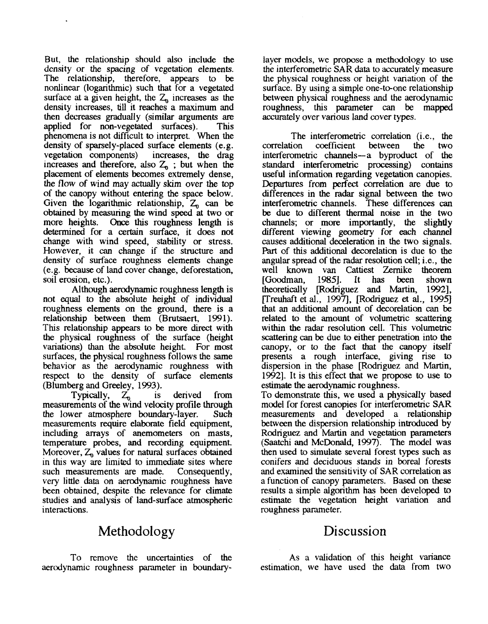But, the relationship should also include the density or the spacing of vcgetation elements. The relationship, therefore, appears to be nonlinear (logarithmic) such that for a vegetated surface at a given height, the  $Z<sub>n</sub>$  increases as the density increases, till it reaches a maximum and then decreases gradually (similar arguments are applied for non-vegetated surfaces). **This** phenomena is not difficult to interpret. When the density of sparsely-placed surface elements (e. g. vegetation components) increases, the drag increases and therefore, also  $Z_0$ ; but when the placement of elements becomes extremely dense, the flow of wind may actually skim over the **top**  of the canopy without entering the space below. Given the logarithmic relationship,  $Z_0$  can be obtained by measuring the wind speed at two or more heights. Once this roughness length is Once this roughness length is determined for a certain **surface, it** does not change with wind speed, stability or stress. However, it *can* change if the structure and density of surface roughness elements change (e.g. because of land cover change, deforestation, soil erosion, etc.).

Although aerodynamic roughness length is not **equal** to *the* absolute height of individual roughness elements on the ground, there is a relationship between them (Brutsaert, 1991). This relationship appears to be more direct with the physical roughness of the surface (height variations) than the absolute height. For most surfaces, the physical roughness follows the same behavior as the aerodynamic roughness with respect to the density of surface elements (Blumberg and Greeley, **1993).** 

Typically,  $Z_0$  is derived measurements of the wind velocity profile through the lower atmosphere boundary-layer. measurements require elaborate field equipment, includmg arrays of anemometers on masts, temperature probes, and recording equipment. Moreover,  $Z_n$  values for natural surfaces obtained in this way are limited to immediate sites where such measurements are made. Consequently, very little data on aerodynamic roughness have been obtained, despite the relevance for climate studies and analysis of land-surface atmospheric interactions.

# Methodology

To remove the uncertainties of the aerodynamic roughness parameter in boundary-

layer models, we propose a methodology to use the interferometric **SAR** data to accurately measure the physical roughness or height variation of the surface. By using a simple one-to-one relationship between physical roughness and the aerodynamic roughness, this parameter *can* be mapped accurately over various land cover types.

The interferometric correlation (i.e., the correlation coefficient between the two coefficient between the two interferometric channels-a byproduct of the standard interferometric processing) contains useful information regarding vegetation canopies. Departures from perfect correlation are due to differences in the radar signal between the two interferometric channels. These differences *can*  be due to different hermal noise in the two channels; or more importantly, the slightly different viewing geometry for each channel causes additional deceleration in the two signals. Part of **this** additional decorelation is due to the angular spread of the radar resolution cell; i.e., the well known van Cattiest Zernike theorem [Goodman, 19851. It **has** been shown theoretically [Rodriguez and Martin, 1992], [Treuhaft et al., 1997], [Rodriguez et al., 1995] that an additional amount of decorelation *can* be related to the amount of volumetric scattering wihn the radar resolution cell. This volumetric scattering *can* be due to either penetration into the canopy, or to the fact hat he canopy itself presents a rough interface, giving rise to dispersion in the phase [Rodriguez and Martin, **19921.** It is this effect that we propose to use to estimate the aerodynamic roughness. To demonstrate this, we **used** a physically based

model for forest canopies for interferometric **SAR**  measurements and developed a relationship between the dispersion relationship introduced by Rodriguez and Martin and vegetation parameters (Saatchi and McDonald, 1997). The model was then used to simulate several forest types such as conifers and deciduous stands in boreal forests and examined the sensitivity of**SAR** correlation as a function of canopy parameters. Based on these results a simple algorithm has been developed to estimate he vegetation height variation and roughness parameter.

#### Discussion

**As a** validation of ths height variance estimation, we have used the data from two